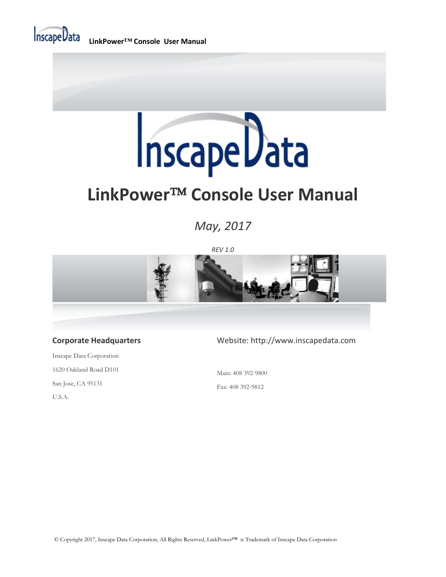

**LinkPower™ Console User Manual**



## **LinkPower<sup>TM</sup> Console User Manual**

*May, 2017*

*REV 1.0*



#### **Corporate Headquarters**

Inscape Data Corporation 1620 Oakland Road D101 San Jose, CA 95131 U.S.A.

#### Website: http://www.inscapedata.com

Main: 408 392-9800

Fax: 408 392-9812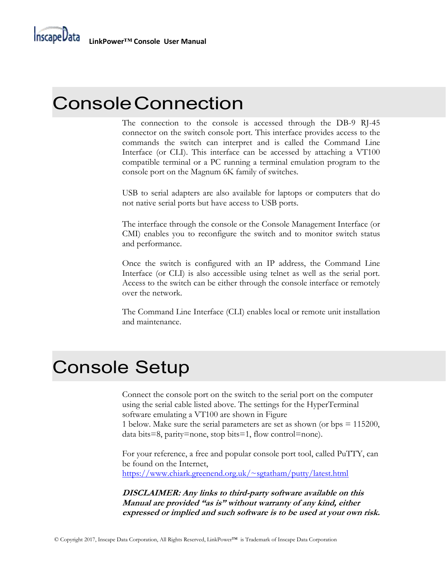**InscapeData** 

### ConsoleConnection

The connection to the console is accessed through the DB-9 RJ-45 connector on the switch console port. This interface provides access to the commands the switch can interpret and is called the Command Line Interface (or CLI). This interface can be accessed by attaching a VT100 compatible terminal or a PC running a terminal emulation program to the console port on the Magnum 6K family of switches.

USB to serial adapters are also available for laptops or computers that do not native serial ports but have access to USB ports.

The interface through the console or the Console Management Interface (or CMI) enables you to reconfigure the switch and to monitor switch status and performance.

Once the switch is configured with an IP address, the Command Line Interface (or CLI) is also accessible using telnet as well as the serial port. Access to the switch can be either through the console interface or remotely over the network.

The Command Line Interface (CLI) enables local or remote unit installation and maintenance.

### Console Setup

Connect the console port on the switch to the serial port on the computer using the serial cable listed above. The settings for the HyperTerminal software emulating a VT100 are shown in Figure 1 below. Make sure the serial parameters are set as shown (or bps = 115200,

data bits=8, parity=none, stop bits=1, flow control=none).

For your reference, a free and popular console port tool, called PuTTY, can be found on the Internet, <https://www.chiark.greenend.org.uk/~sgtatham/putty/latest.html>

**DISCLAIMER: Any links to third-party software available on this Manual are provided "as is" without warranty of any kind, either expressed or implied and such software is to be used at your own risk.**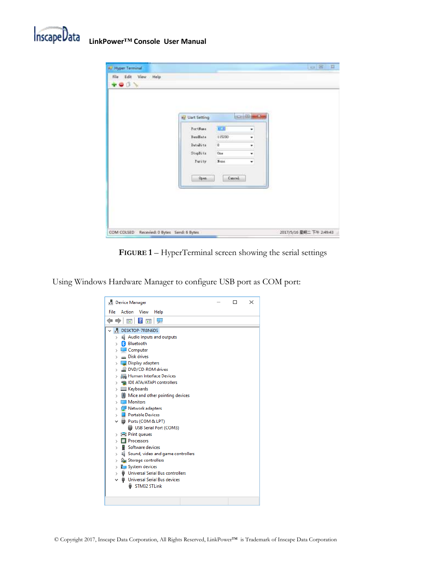

|                                                              |                                                          | <b>CO B MASSA</b> |  |
|--------------------------------------------------------------|----------------------------------------------------------|-------------------|--|
| Uart Setting<br>PortNess<br>BandSate<br>Databits<br>Stepšita | 定期<br>115200<br><b>SOF</b><br>ä<br><b>Witness</b><br>One | ۳<br>t<br>٠<br>۷  |  |
| <b>Furity</b><br>12.14<br>Open                               | <b>Fone</b><br>Cascal.                                   | ٠                 |  |

**FIGURE 1** *–* HyperTerminal screen showing the serial settings

Using Windows Hardware Manager to configure USB port as COM port: